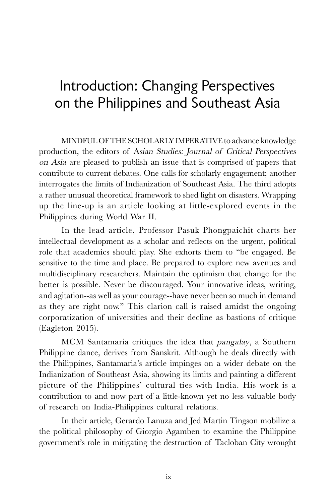## Introduction: Changing Perspectives on the Philippines and Southeast Asia

MINDFUL OF THE SCHOLARLY IMPERATIVE to advance knowledge production, the editors of Asian Studies: Journal of Critical Perspectives on Asia are pleased to publish an issue that is comprised of papers that contribute to current debates. One calls for scholarly engagement; another interrogates the limits of Indianization of Southeast Asia. The third adopts a rather unusual theoretical framework to shed light on disasters. Wrapping up the line-up is an article looking at little-explored events in the Philippines during World War II.

In the lead article, Professor Pasuk Phongpaichit charts her intellectual development as a scholar and reflects on the urgent, political role that academics should play. She exhorts them to "be engaged. Be sensitive to the time and place. Be prepared to explore new avenues and multidisciplinary researchers. Maintain the optimism that change for the better is possible. Never be discouraged. Your innovative ideas, writing, and agitation--as well as your courage--have never been so much in demand as they are right now." This clarion call is raised amidst the ongoing corporatization of universities and their decline as bastions of critique (Eagleton 2015).

MCM Santamaria critiques the idea that pangalay, a Southern Philippine dance, derives from Sanskrit. Although he deals directly with the Philippines, Santamaria's article impinges on a wider debate on the Indianization of Southeast Asia, showing its limits and painting a different picture of the Philippines' cultural ties with India. His work is a contribution to and now part of a little-known yet no less valuable body of research on India-Philippines cultural relations.

In their article, Gerardo Lanuza and Jed Martin Tingson mobilize a the political philosophy of Giorgio Agamben to examine the Philippine government's role in mitigating the destruction of Tacloban City wrought